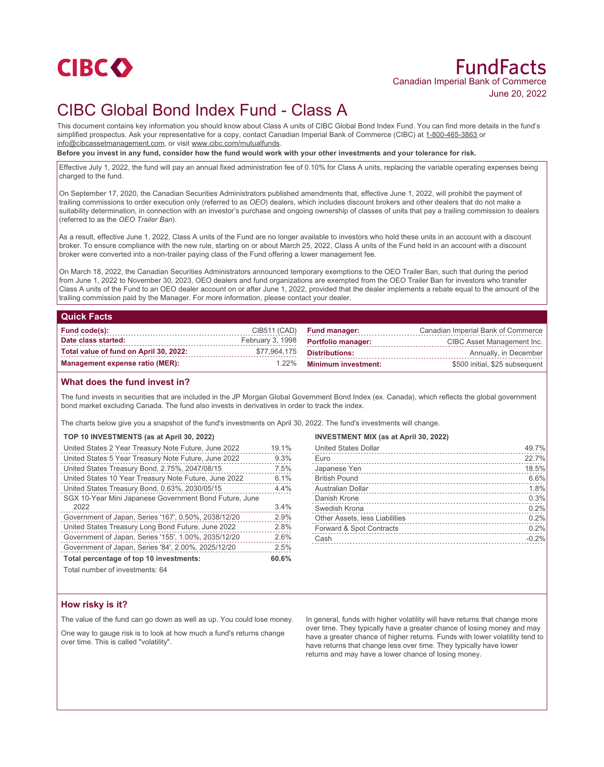

# FundFacts Canadian Imperial Bank of Commerce June 20, 2022

# CIBC Global Bond Index Fund - Class A

This document contains key information you should know about Class A units of CIBC Global Bond Index Fund. You can find more details in the fund's simplified prospectus. Ask your representative for a copy, contact Canadian Imperial Bank of Commerce (CIBC) at 1-800-465-3863 or info@cibcassetmanagement.com, or visit www.cibc.com/mutualfunds.

**Before you invest in any fund, consider how the fund would work with your other investments and your tolerance for risk.**

Effective July 1, 2022, the fund will pay an annual fixed administration fee of 0.10% for Class A units, replacing the variable operating expenses being charged to the fund.

On September 17, 2020, the Canadian Securities Administrators published amendments that, effective June 1, 2022, will prohibit the payment of trailing commissions to order execution only (referred to as *OEO*) dealers, which includes discount brokers and other dealers that do not make a suitability determination, in connection with an investor's purchase and ongoing ownership of classes of units that pay a trailing commission to dealers (referred to as the *OEO Trailer Ban*).

As a result, effective June 1, 2022, Class A units of the Fund are no longer available to investors who hold these units in an account with a discount broker. To ensure compliance with the new rule, starting on or about March 25, 2022, Class A units of the Fund held in an account with a discount broker were converted into a non-trailer paying class of the Fund offering a lower management fee.

On March 18, 2022, the Canadian Securities Administrators announced temporary exemptions to the OEO Trailer Ban, such that during the period from June 1, 2022 to November 30, 2023, OEO dealers and fund organizations are exempted from the OEO Trailer Ban for investors who transfer Class A units of the Fund to an OEO dealer account on or after June 1, 2022, provided that the dealer implements a rebate equal to the amount of the trailing commission paid by the Manager. For more information, please contact your dealer.

### **Quick Facts**

| Fund code(s):                          |              | CIB511 (CAD) Fund manager:           | Canadian Imperial Bank of Commerce |
|----------------------------------------|--------------|--------------------------------------|------------------------------------|
| Date class started:                    |              | February 3, 1998  Portfolio manager: | CIBC Asset Management Inc.         |
| Total value of fund on April 30, 2022: | \$77,964,175 | Distributions:                       | Annually, in December              |
| Management expense ratio (MER):        |              | 1.22% Minimum investment:            | \$500 initial, \$25 subsequent     |

## **What does the fund invest in?**

The fund invests in securities that are included in the JP Morgan Global Government Bond Index (ex. Canada), which reflects the global government bond market excluding Canada. The fund also invests in derivatives in order to track the index.

The charts below give you a snapshot of the fund's investments on April 30, 2022. The fund's investments will change.

### **TOP 10 INVESTMENTS (as at April 30, 2022)**

| United States 2 Year Treasury Note Future, June 2022   | 19.1% |
|--------------------------------------------------------|-------|
| United States 5 Year Treasury Note Future, June 2022   | 9.3%  |
| United States Treasury Bond, 2.75%, 2047/08/15         | 7.5%  |
| United States 10 Year Treasury Note Future, June 2022  | 6.1%  |
| United States Treasury Bond, 0.63%, 2030/05/15         | 4.4%  |
| SGX 10-Year Mini Japanese Government Bond Future, June |       |
| 2022                                                   | 3.4%  |
| Government of Japan, Series '167', 0.50%, 2038/12/20   | 2.9%  |
| United States Treasury Long Bond Future, June 2022     | 2.8%  |
| Government of Japan, Series '155', 1.00%, 2035/12/20   | 2.6%  |
| Government of Japan, Series '84', 2.00%, 2025/12/20    | 2.5%  |
| Total percentage of top 10 investments:                | 60.6% |

**INVESTMENT MIX (as at April 30, 2022)**

| United States Dollar           | 49.7%   |
|--------------------------------|---------|
| Euro                           | 22.7%   |
| Japanese Yen                   | 18.5%   |
| <b>British Pound</b>           | 6.6%    |
| Australian Dollar              | 1.8%    |
| Danish Krone                   | 0.3%    |
| Swedish Krona                  | 0.2%    |
| Other Assets, less Liabilities | 0.2%    |
| Forward & Spot Contracts       | 0.2%    |
| Cash                           | $-0.2%$ |
|                                |         |

Total number of investments: 64

## **How risky is it?**

The value of the fund can go down as well as up. You could lose money.

One way to gauge risk is to look at how much a fund's returns change over time. This is called "volatility".

In general, funds with higher volatility will have returns that change more over time. They typically have a greater chance of losing money and may have a greater chance of higher returns. Funds with lower volatility tend to have returns that change less over time. They typically have lower returns and may have a lower chance of losing money.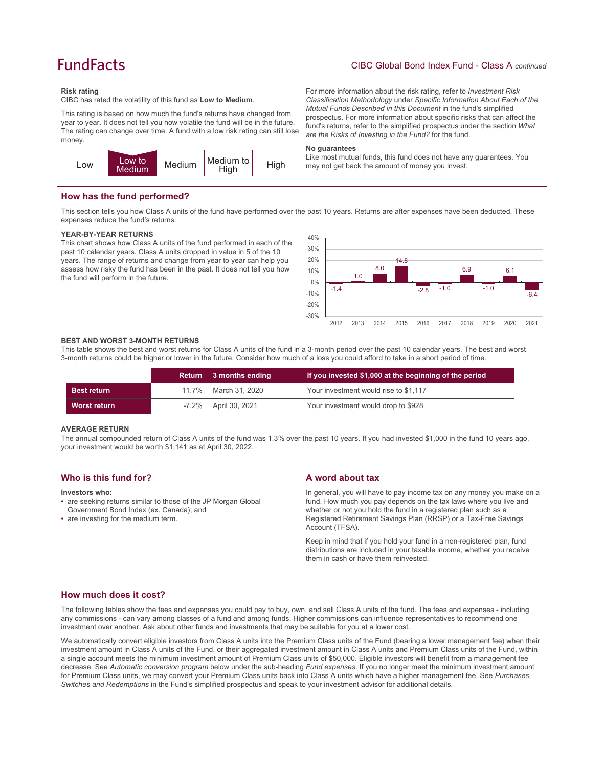# **FundFacts**

For more information about the risk rating, refer to *Investment Risk Classification Methodology* under *Specific Information About Each of the Mutual Funds Described in this Document* in the fund's simplified prospectus. For more information about specific risks that can affect the fund's returns, refer to the simplified prospectus under the section *What* 

Like most mutual funds, this fund does not have any guarantees. You

*are the Risks of Investing in the Fund?* for the fund.

may not get back the amount of money you invest.

#### **Risk rating**

CIBC has rated the volatility of this fund as **Low to Medium**.

This rating is based on how much the fund's returns have changed from year to year. It does not tell you how volatile the fund will be in the future. The rating can change over time. A fund with a low risk rating can still lose money.



## **How has the fund performed?**

This section tells you how Class A units of the fund have performed over the past 10 years. Returns are after expenses have been deducted. These expenses reduce the fund's returns.

**No guarantees**

#### **YEAR-BY-YEAR RETURNS**

This chart shows how Class A units of the fund performed in each of the past 10 calendar years. Class A units dropped in value in 5 of the 10 years. The range of returns and change from year to year can help you assess how risky the fund has been in the past. It does not tell you how the fund will perform in the future.



#### **BEST AND WORST 3-MONTH RETURNS**

This table shows the best and worst returns for Class A units of the fund in a 3-month period over the past 10 calendar years. The best and worst 3-month returns could be higher or lower in the future. Consider how much of a loss you could afford to take in a short period of time.

|                    | Return 3 months ending | If you invested \$1,000 at the beginning of the period |
|--------------------|------------------------|--------------------------------------------------------|
| <b>Best return</b> | 11.7%   March 31, 2020 | Your investment would rise to \$1,117                  |
| Worst return       | -7.2%   April 30, 2021 | Your investment would drop to \$928                    |

#### **AVERAGE RETURN**

The annual compounded return of Class A units of the fund was 1.3% over the past 10 years. If you had invested \$1,000 in the fund 10 years ago, your investment would be worth \$1,141 as at April 30, 2022.

| Who is this fund for?                                                                                                                                               | A word about tax                                                                                                                                                                                                                                                                                                                                                                                                                                                                                  |
|---------------------------------------------------------------------------------------------------------------------------------------------------------------------|---------------------------------------------------------------------------------------------------------------------------------------------------------------------------------------------------------------------------------------------------------------------------------------------------------------------------------------------------------------------------------------------------------------------------------------------------------------------------------------------------|
| Investors who:<br>• are seeking returns similar to those of the JP Morgan Global<br>Government Bond Index (ex. Canada); and<br>• are investing for the medium term. | In general, you will have to pay income tax on any money you make on a<br>fund. How much you pay depends on the tax laws where you live and<br>whether or not you hold the fund in a registered plan such as a<br>Registered Retirement Savings Plan (RRSP) or a Tax-Free Savings<br>Account (TFSA).<br>Keep in mind that if you hold your fund in a non-registered plan, fund<br>distributions are included in your taxable income, whether you receive<br>them in cash or have them reinvested. |
|                                                                                                                                                                     |                                                                                                                                                                                                                                                                                                                                                                                                                                                                                                   |

## **How much does it cost?**

The following tables show the fees and expenses you could pay to buy, own, and sell Class A units of the fund. The fees and expenses - including any commissions - can vary among classes of a fund and among funds. Higher commissions can influence representatives to recommend one investment over another. Ask about other funds and investments that may be suitable for you at a lower cost.

We automatically convert eligible investors from Class A units into the Premium Class units of the Fund (bearing a lower management fee) when their investment amount in Class A units of the Fund, or their aggregated investment amount in Class A units and Premium Class units of the Fund, within a single account meets the minimum investment amount of Premium Class units of \$50,000. Eligible investors will benefit from a management fee decrease. See *Automatic conversion program* below under the sub-heading *Fund expenses*. If you no longer meet the minimum investment amount for Premium Class units, we may convert your Premium Class units back into Class A units which have a higher management fee. See *Purchases, Switches and Redemptions* in the Fund's simplified prospectus and speak to your investment advisor for additional details.